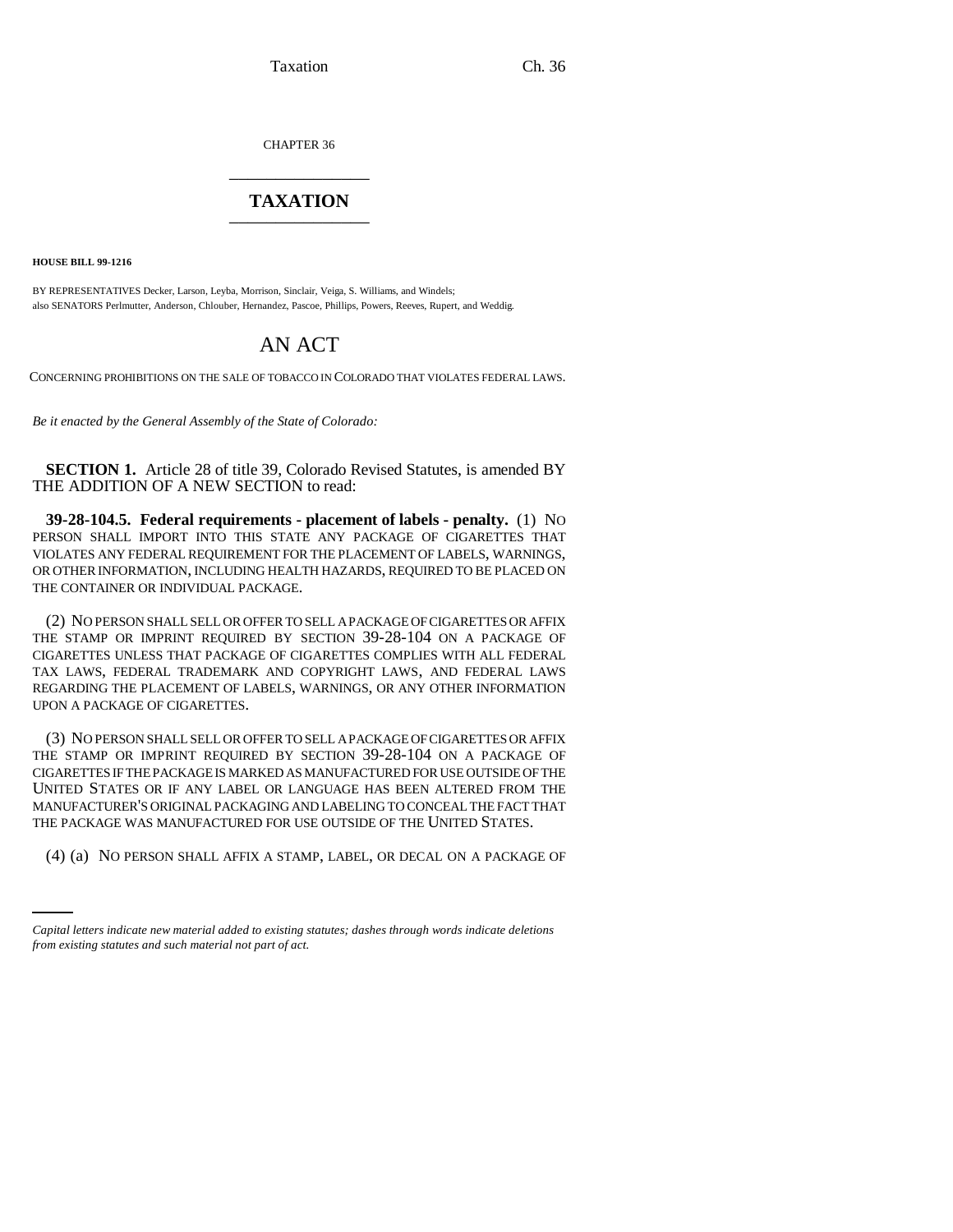Taxation Ch. 36

CHAPTER 36 \_\_\_\_\_\_\_\_\_\_\_\_\_\_\_

## **TAXATION** \_\_\_\_\_\_\_\_\_\_\_\_\_\_\_

**HOUSE BILL 99-1216** 

BY REPRESENTATIVES Decker, Larson, Leyba, Morrison, Sinclair, Veiga, S. Williams, and Windels; also SENATORS Perlmutter, Anderson, Chlouber, Hernandez, Pascoe, Phillips, Powers, Reeves, Rupert, and Weddig.

## AN ACT

CONCERNING PROHIBITIONS ON THE SALE OF TOBACCO IN COLORADO THAT VIOLATES FEDERAL LAWS.

*Be it enacted by the General Assembly of the State of Colorado:*

**SECTION 1.** Article 28 of title 39, Colorado Revised Statutes, is amended BY THE ADDITION OF A NEW SECTION to read:

**39-28-104.5. Federal requirements - placement of labels - penalty.** (1) NO PERSON SHALL IMPORT INTO THIS STATE ANY PACKAGE OF CIGARETTES THAT VIOLATES ANY FEDERAL REQUIREMENT FOR THE PLACEMENT OF LABELS, WARNINGS, OR OTHER INFORMATION, INCLUDING HEALTH HAZARDS, REQUIRED TO BE PLACED ON THE CONTAINER OR INDIVIDUAL PACKAGE.

(2) NO PERSON SHALL SELL OR OFFER TO SELL A PACKAGE OF CIGARETTES OR AFFIX THE STAMP OR IMPRINT REQUIRED BY SECTION 39-28-104 ON A PACKAGE OF CIGARETTES UNLESS THAT PACKAGE OF CIGARETTES COMPLIES WITH ALL FEDERAL TAX LAWS, FEDERAL TRADEMARK AND COPYRIGHT LAWS, AND FEDERAL LAWS REGARDING THE PLACEMENT OF LABELS, WARNINGS, OR ANY OTHER INFORMATION UPON A PACKAGE OF CIGARETTES.

THE PACKAGE WAS MANUFACTURED FOR USE OUTSIDE OF THE UNITED STATES. (3) NO PERSON SHALL SELL OR OFFER TO SELL A PACKAGE OF CIGARETTES OR AFFIX THE STAMP OR IMPRINT REQUIRED BY SECTION 39-28-104 ON A PACKAGE OF CIGARETTES IF THE PACKAGE IS MARKED AS MANUFACTURED FOR USE OUTSIDE OF THE UNITED STATES OR IF ANY LABEL OR LANGUAGE HAS BEEN ALTERED FROM THE MANUFACTURER'S ORIGINAL PACKAGING AND LABELING TO CONCEAL THE FACT THAT

(4) (a) NO PERSON SHALL AFFIX A STAMP, LABEL, OR DECAL ON A PACKAGE OF

*Capital letters indicate new material added to existing statutes; dashes through words indicate deletions from existing statutes and such material not part of act.*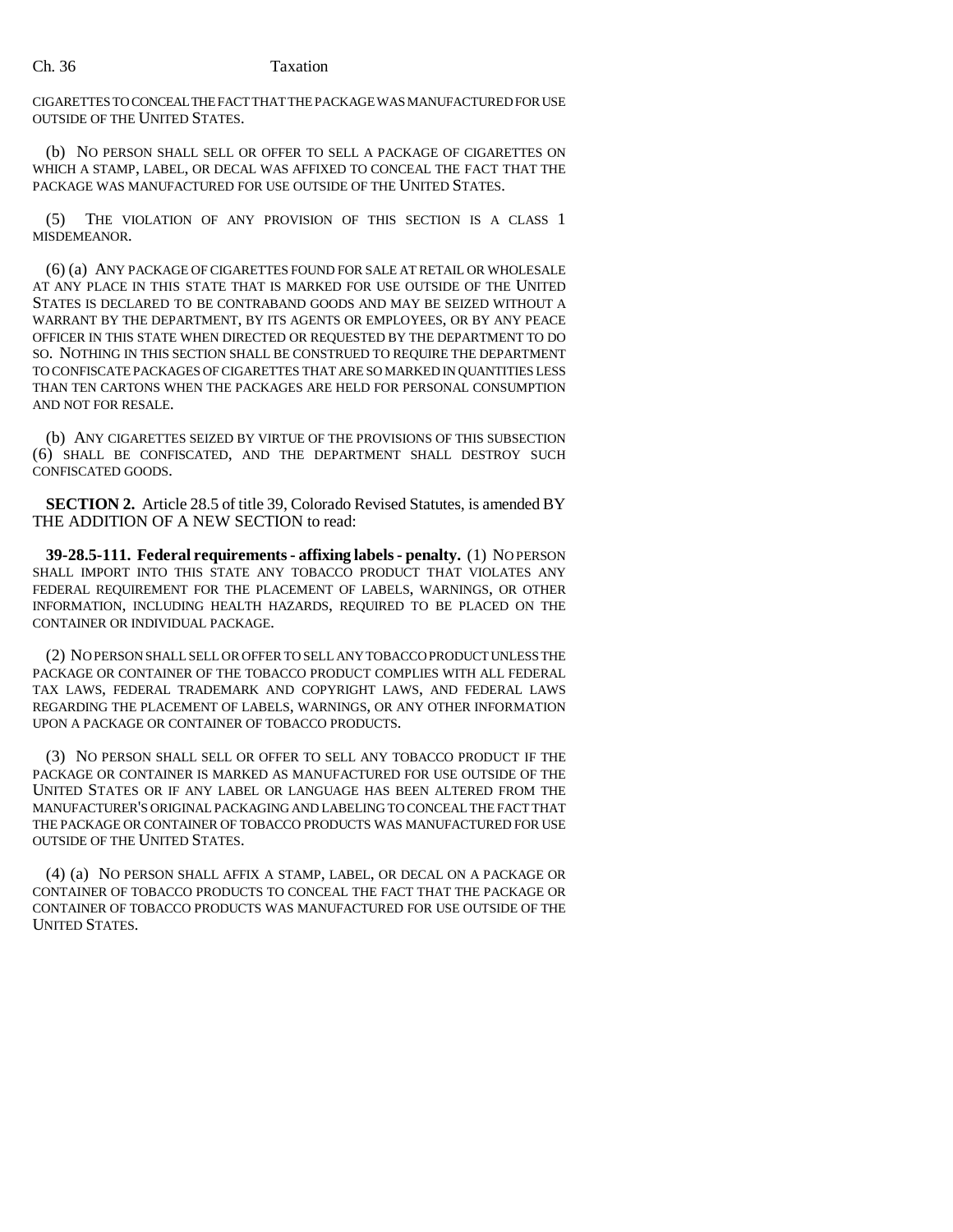## Ch. 36 Taxation

CIGARETTES TO CONCEAL THE FACT THAT THE PACKAGE WAS MANUFACTURED FOR USE OUTSIDE OF THE UNITED STATES.

(b) NO PERSON SHALL SELL OR OFFER TO SELL A PACKAGE OF CIGARETTES ON WHICH A STAMP, LABEL, OR DECAL WAS AFFIXED TO CONCEAL THE FACT THAT THE PACKAGE WAS MANUFACTURED FOR USE OUTSIDE OF THE UNITED STATES.

(5) THE VIOLATION OF ANY PROVISION OF THIS SECTION IS A CLASS 1 MISDEMEANOR.

(6) (a) ANY PACKAGE OF CIGARETTES FOUND FOR SALE AT RETAIL OR WHOLESALE AT ANY PLACE IN THIS STATE THAT IS MARKED FOR USE OUTSIDE OF THE UNITED STATES IS DECLARED TO BE CONTRABAND GOODS AND MAY BE SEIZED WITHOUT A WARRANT BY THE DEPARTMENT, BY ITS AGENTS OR EMPLOYEES, OR BY ANY PEACE OFFICER IN THIS STATE WHEN DIRECTED OR REQUESTED BY THE DEPARTMENT TO DO SO. NOTHING IN THIS SECTION SHALL BE CONSTRUED TO REQUIRE THE DEPARTMENT TO CONFISCATE PACKAGES OF CIGARETTES THAT ARE SO MARKED IN QUANTITIES LESS THAN TEN CARTONS WHEN THE PACKAGES ARE HELD FOR PERSONAL CONSUMPTION AND NOT FOR RESALE.

(b) ANY CIGARETTES SEIZED BY VIRTUE OF THE PROVISIONS OF THIS SUBSECTION (6) SHALL BE CONFISCATED, AND THE DEPARTMENT SHALL DESTROY SUCH CONFISCATED GOODS.

**SECTION 2.** Article 28.5 of title 39, Colorado Revised Statutes, is amended BY THE ADDITION OF A NEW SECTION to read:

**39-28.5-111. Federal requirements - affixing labels - penalty.** (1) NO PERSON SHALL IMPORT INTO THIS STATE ANY TOBACCO PRODUCT THAT VIOLATES ANY FEDERAL REQUIREMENT FOR THE PLACEMENT OF LABELS, WARNINGS, OR OTHER INFORMATION, INCLUDING HEALTH HAZARDS, REQUIRED TO BE PLACED ON THE CONTAINER OR INDIVIDUAL PACKAGE.

(2) NO PERSON SHALL SELL OR OFFER TO SELL ANY TOBACCO PRODUCT UNLESS THE PACKAGE OR CONTAINER OF THE TOBACCO PRODUCT COMPLIES WITH ALL FEDERAL TAX LAWS, FEDERAL TRADEMARK AND COPYRIGHT LAWS, AND FEDERAL LAWS REGARDING THE PLACEMENT OF LABELS, WARNINGS, OR ANY OTHER INFORMATION UPON A PACKAGE OR CONTAINER OF TOBACCO PRODUCTS.

(3) NO PERSON SHALL SELL OR OFFER TO SELL ANY TOBACCO PRODUCT IF THE PACKAGE OR CONTAINER IS MARKED AS MANUFACTURED FOR USE OUTSIDE OF THE UNITED STATES OR IF ANY LABEL OR LANGUAGE HAS BEEN ALTERED FROM THE MANUFACTURER'S ORIGINAL PACKAGING AND LABELING TO CONCEAL THE FACT THAT THE PACKAGE OR CONTAINER OF TOBACCO PRODUCTS WAS MANUFACTURED FOR USE OUTSIDE OF THE UNITED STATES.

(4) (a) NO PERSON SHALL AFFIX A STAMP, LABEL, OR DECAL ON A PACKAGE OR CONTAINER OF TOBACCO PRODUCTS TO CONCEAL THE FACT THAT THE PACKAGE OR CONTAINER OF TOBACCO PRODUCTS WAS MANUFACTURED FOR USE OUTSIDE OF THE UNITED STATES.